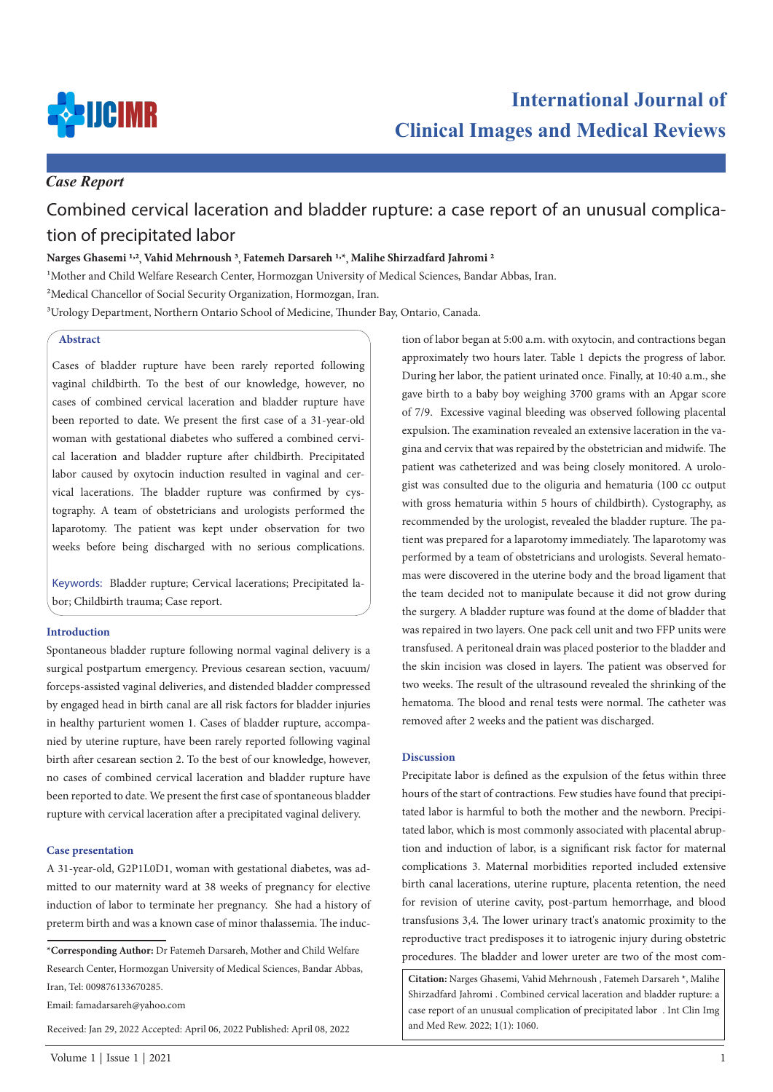

# *Case Report*

# Combined cervical laceration and bladder rupture: a case report of an unusual complication of precipitated labor

## **Narges Ghasemi 1,2, Vahid Mehrnoush 3, Fatemeh Darsareh 1,\*, Malihe Shirzadfard Jahromi 2**

1Mother and Child Welfare Research Center, Hormozgan University of Medical Sciences, Bandar Abbas, Iran.

<sup>2</sup>Medical Chancellor of Social Security Organization, Hormozgan, Iran.

3Urology Department, Northern Ontario School of Medicine, Thunder Bay, Ontario, Canada.

## **Abstract**

Cases of bladder rupture have been rarely reported following vaginal childbirth. To the best of our knowledge, however, no cases of combined cervical laceration and bladder rupture have been reported to date. We present the first case of a 31-year-old woman with gestational diabetes who suffered a combined cervical laceration and bladder rupture after childbirth. Precipitated labor caused by oxytocin induction resulted in vaginal and cervical lacerations. The bladder rupture was confirmed by cystography. A team of obstetricians and urologists performed the laparotomy. The patient was kept under observation for two weeks before being discharged with no serious complications.

Keywords: Bladder rupture; Cervical lacerations; Precipitated labor; Childbirth trauma; Case report.

#### **Introduction**

Spontaneous bladder rupture following normal vaginal delivery is a surgical postpartum emergency. Previous cesarean section, vacuum/ forceps-assisted vaginal deliveries, and distended bladder compressed by engaged head in birth canal are all risk factors for bladder injuries in healthy parturient women 1. Cases of bladder rupture, accompanied by uterine rupture, have been rarely reported following vaginal birth after cesarean section 2. To the best of our knowledge, however, no cases of combined cervical laceration and bladder rupture have been reported to date. We present the first case of spontaneous bladder rupture with cervical laceration after a precipitated vaginal delivery.

#### **Case presentation**

A 31-year-old, G2P1L0D1, woman with gestational diabetes, was admitted to our maternity ward at 38 weeks of pregnancy for elective induction of labor to terminate her pregnancy. She had a history of preterm birth and was a known case of minor thalassemia. The induc-

Email: famadarsareh@yahoo.com

Received: Jan 29, 2022 Accepted: April 06, 2022 Published: April 08, 2022

tion of labor began at 5:00 a.m. with oxytocin, and contractions began approximately two hours later. Table 1 depicts the progress of labor. During her labor, the patient urinated once. Finally, at 10:40 a.m., she gave birth to a baby boy weighing 3700 grams with an Apgar score of 7/9. Excessive vaginal bleeding was observed following placental expulsion. The examination revealed an extensive laceration in the vagina and cervix that was repaired by the obstetrician and midwife. The patient was catheterized and was being closely monitored. A urologist was consulted due to the oliguria and hematuria (100 cc output with gross hematuria within 5 hours of childbirth). Cystography, as recommended by the urologist, revealed the bladder rupture. The patient was prepared for a laparotomy immediately. The laparotomy was performed by a team of obstetricians and urologists. Several hematomas were discovered in the uterine body and the broad ligament that the team decided not to manipulate because it did not grow during the surgery. A bladder rupture was found at the dome of bladder that was repaired in two layers. One pack cell unit and two FFP units were transfused. A peritoneal drain was placed posterior to the bladder and the skin incision was closed in layers. The patient was observed for two weeks. The result of the ultrasound revealed the shrinking of the hematoma. The blood and renal tests were normal. The catheter was removed after 2 weeks and the patient was discharged.

#### **Discussion**

Precipitate labor is defined as the expulsion of the fetus within three hours of the start of contractions. Few studies have found that precipitated labor is harmful to both the mother and the newborn. Precipitated labor, which is most commonly associated with placental abruption and induction of labor, is a significant risk factor for maternal complications 3. Maternal morbidities reported included extensive birth canal lacerations, uterine rupture, placenta retention, the need for revision of uterine cavity, post-partum hemorrhage, and blood transfusions 3,4. The lower urinary tract's anatomic proximity to the reproductive tract predisposes it to iatrogenic injury during obstetric procedures. The bladder and lower ureter are two of the most com-

**Citation:** Narges Ghasemi, Vahid Mehrnoush , Fatemeh Darsareh \*, Malihe Shirzadfard Jahromi . Combined cervical laceration and bladder rupture: a case report of an unusual complication of precipitated labor . Int Clin Img and Med Rew. 2022; 1(1): 1060.

**<sup>\*</sup>Corresponding Author:** Dr Fatemeh Darsareh, Mother and Child Welfare Research Center, Hormozgan University of Medical Sciences, Bandar Abbas, Iran, Tel: 009876133670285.